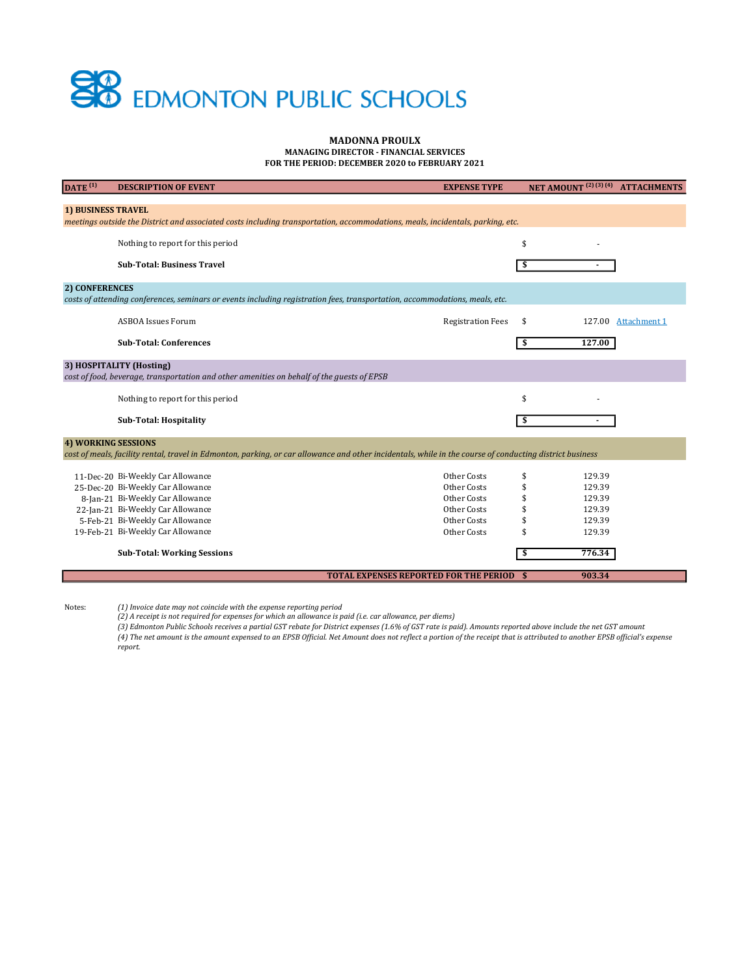# SO EDMONTON PUBLIC SCHOOLS

## MADONNA PROULX MANAGING DIRECTOR - FINANCIAL SERVICES

FOR THE PERIOD: DECEMBER 2020 to FEBRUARY 2021

| DATE <sup>(1)</sup>                                                                                                                                      | <b>DESCRIPTION OF EVENT</b>                                                                | <b>EXPENSE TYPE</b>                              | NET AMOUNT <sup>(2)(3)(4)</sup> ATTACHMENTS |              |  |  |  |  |  |
|----------------------------------------------------------------------------------------------------------------------------------------------------------|--------------------------------------------------------------------------------------------|--------------------------------------------------|---------------------------------------------|--------------|--|--|--|--|--|
|                                                                                                                                                          |                                                                                            |                                                  |                                             |              |  |  |  |  |  |
| <b>1) BUSINESS TRAVEL</b>                                                                                                                                |                                                                                            |                                                  |                                             |              |  |  |  |  |  |
| meetings outside the District and associated costs including transportation, accommodations, meals, incidentals, parking, etc.                           |                                                                                            |                                                  |                                             |              |  |  |  |  |  |
|                                                                                                                                                          | Nothing to report for this period                                                          |                                                  | \$                                          |              |  |  |  |  |  |
|                                                                                                                                                          |                                                                                            |                                                  |                                             |              |  |  |  |  |  |
|                                                                                                                                                          | <b>Sub-Total: Business Travel</b>                                                          |                                                  | \$                                          |              |  |  |  |  |  |
|                                                                                                                                                          |                                                                                            |                                                  |                                             |              |  |  |  |  |  |
| <b>2) CONFERENCES</b>                                                                                                                                    |                                                                                            |                                                  |                                             |              |  |  |  |  |  |
| costs of attending conferences, seminars or events including registration fees, transportation, accommodations, meals, etc.                              |                                                                                            |                                                  |                                             |              |  |  |  |  |  |
|                                                                                                                                                          |                                                                                            |                                                  |                                             |              |  |  |  |  |  |
|                                                                                                                                                          | <b>ASBOA Issues Forum</b>                                                                  | <b>Registration Fees</b>                         | \$<br>127.00                                | Attachment 1 |  |  |  |  |  |
|                                                                                                                                                          | <b>Sub-Total: Conferences</b>                                                              |                                                  | 127.00<br>\$                                |              |  |  |  |  |  |
|                                                                                                                                                          |                                                                                            |                                                  |                                             |              |  |  |  |  |  |
| 3) HOSPITALITY (Hosting)                                                                                                                                 |                                                                                            |                                                  |                                             |              |  |  |  |  |  |
|                                                                                                                                                          | cost of food, beverage, transportation and other amenities on behalf of the guests of EPSB |                                                  |                                             |              |  |  |  |  |  |
|                                                                                                                                                          |                                                                                            |                                                  |                                             |              |  |  |  |  |  |
|                                                                                                                                                          | Nothing to report for this period                                                          |                                                  | \$                                          |              |  |  |  |  |  |
|                                                                                                                                                          |                                                                                            |                                                  |                                             |              |  |  |  |  |  |
|                                                                                                                                                          | <b>Sub-Total: Hospitality</b>                                                              |                                                  | \$                                          |              |  |  |  |  |  |
| <b>4) WORKING SESSIONS</b>                                                                                                                               |                                                                                            |                                                  |                                             |              |  |  |  |  |  |
| cost of meals, facility rental, travel in Edmonton, parking, or car allowance and other incidentals, while in the course of conducting district business |                                                                                            |                                                  |                                             |              |  |  |  |  |  |
|                                                                                                                                                          |                                                                                            |                                                  |                                             |              |  |  |  |  |  |
|                                                                                                                                                          | 11-Dec-20 Bi-Weekly Car Allowance                                                          | Other Costs                                      | \$<br>129.39                                |              |  |  |  |  |  |
|                                                                                                                                                          | 25-Dec-20 Bi-Weekly Car Allowance                                                          | Other Costs                                      | \$<br>129.39                                |              |  |  |  |  |  |
|                                                                                                                                                          | 8-Jan-21 Bi-Weekly Car Allowance                                                           | Other Costs                                      | \$<br>129.39                                |              |  |  |  |  |  |
|                                                                                                                                                          | 22-Jan-21 Bi-Weekly Car Allowance                                                          | Other Costs                                      | 129.39<br>\$                                |              |  |  |  |  |  |
|                                                                                                                                                          | 5-Feb-21 Bi-Weekly Car Allowance                                                           | Other Costs                                      | 129.39<br>\$                                |              |  |  |  |  |  |
|                                                                                                                                                          | 19-Feb-21 Bi-Weekly Car Allowance                                                          | Other Costs                                      | 129.39<br>\$                                |              |  |  |  |  |  |
|                                                                                                                                                          | <b>Sub-Total: Working Sessions</b>                                                         |                                                  | 776.34<br>\$                                |              |  |  |  |  |  |
|                                                                                                                                                          |                                                                                            |                                                  |                                             |              |  |  |  |  |  |
|                                                                                                                                                          |                                                                                            | <b>TOTAL EXPENSES REPORTED FOR THE PERIOD \$</b> | 903.34                                      |              |  |  |  |  |  |
|                                                                                                                                                          |                                                                                            |                                                  |                                             |              |  |  |  |  |  |

Notes:

(1) Invoice date may not coincide with the expense reporting period (2) A receipt is not required for expenses for which an allowance is paid (i.e. car allowance, per diems)

(3) Edmonton Public Schools receives a partial GST rebate for District expenses (1.6% of GST rate is paid). Amounts reported above include the net GST amount (4) The net amount is the amount expensed to an EPSB Official. Net Amount does not reflect a portion of the receipt that is attributed to another EPSB official's expense report.